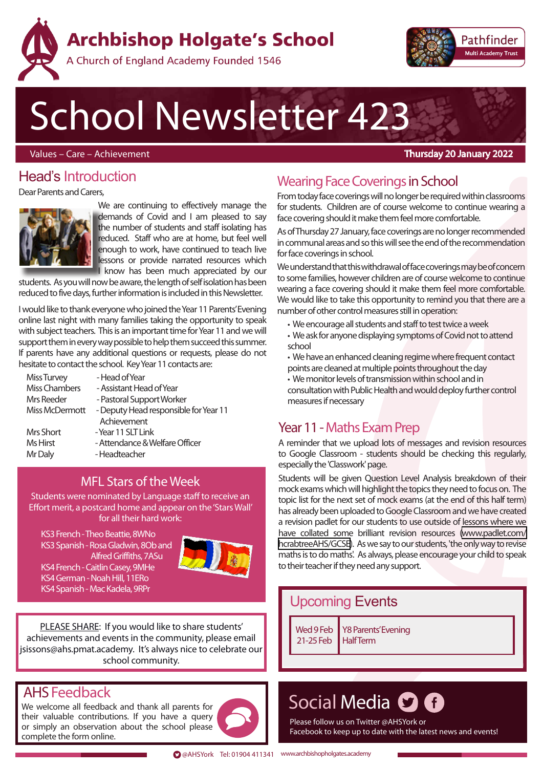**Archbishop Holgate's School** 



## A Church of England Academy Founded 1546

# School Newsletter 423

Values – Care – Achievement

#### Thursday 20 January 2022

## Head's Introduction

Dear Parents and Carers,



We are continuing to effectively manage the demands of Covid and I am pleased to say the number of students and staff isolating has reduced. Staff who are at home, but feel well enough to work, have continued to teach live lessons or provide narrated resources which I know has been much appreciated by our

students. As you will now be aware, the length of self isolation has been reduced to five days, further information is included in this Newsletter.

I would like to thank everyone who joined the Year 11 Parents' Evening online last night with many families taking the opportunity to speak with subject teachers. This is an important time for Year 11 and we will support them in every way possible to help them succeed this summer. If parents have any additional questions or requests, please do not hesitate to contact the school. Key Year 11 contacts are:

| Miss Turvey     | - Head of Year                        |
|-----------------|---------------------------------------|
| Miss Chambers   | - Assistant Head of Year              |
| Mrs Reeder      | - Pastoral Support Worker             |
| Miss McDermott  | - Deputy Head responsible for Year 11 |
|                 | Achievement                           |
| Mrs Short       | - Year 11 SLT Link                    |
| <b>Ms Hirst</b> | - Attendance & Welfare Officer        |
| Mr Daly         | - Headteacher                         |

## MFL Stars of the Week

Students were nominated by Language staff to receive an Effort merit, a postcard home and appear on the 'Stars Wall' for all their hard work:

 KS3 French - Theo Beattie, 8WNo KS3 Spanish - Rosa Gladwin, 8Ob and Alfred Griffiths, 7ASu KS4 French - Caitlin Casey, 9MHe KS4 German - Noah Hill, 11ERo KS4 Spanish - Mac Kadela, 9RPr



PLEASE SHARE: If you would like to share students' achievements and events in the community, please email jsissons@ahs.pmat.academy. It's always nice to celebrate our school community.

## AHSFeedback

We welcome all feedback and thank all parents for their valuable contributions. If you have a query or simply an observation about the school please complete the form online.



## Wearing Face Coverings in School

From today face coverings will no longer be required within classrooms for students. Children are of course welcome to continue wearing a face covering should it make them feel more comfortable.

As of Thursday 27 January, face coverings are no longer recommended in communal areas and so this will see the end of the recommendation for face coverings in school.

We understand that this withdrawal of face coverings may be of concern to some families, however children are of course welcome to continue wearing a face covering should it make them feel more comfortable. We would like to take this opportunity to remind you that there are a number of other control measures still in operation:

- We encourage all students and staff to test twice a week
- We ask for anyone displaying symptoms of Covid not to attend school
- We have an enhanced cleaning regime where frequent contact points are cleaned at multiple points throughout the day
- We monitor levels of transmission within school and in consultation with Public Health and would deploy further control measures if necessary

## Year 11 - Maths Exam Prep

A reminder that we upload lots of messages and revision resources to Google Classroom - students should be checking this regularly, especially the 'Classwork' page.

Students will be given Question Level Analysis breakdown of their mock exams which will highlight the topics they need to focus on. The topic list for the next set of mock exams (at the end of this half term) has already been uploaded to Google Classroom and we have created a revision padlet for our students to use outside of lessons where we have collated some brilliant revision resources [\(www.padlet.com/](www.padlet.com/hcrabtreeAHS/GCSE) [hcrabtreeAHS/GCSE\)](www.padlet.com/hcrabtreeAHS/GCSE). As we say to our students, 'the only way to revise maths is to do maths'. As always, please encourage your child to speak to their teacher if they need any support.

## Upcoming Events

Wed 9 Feb 21-25 Feb Y8 Parents' Evening **Half Term** 

## Social Media **O O**

Please follow us on Twitter @AHSYork or Facebook to keep up to date with the latest news and events!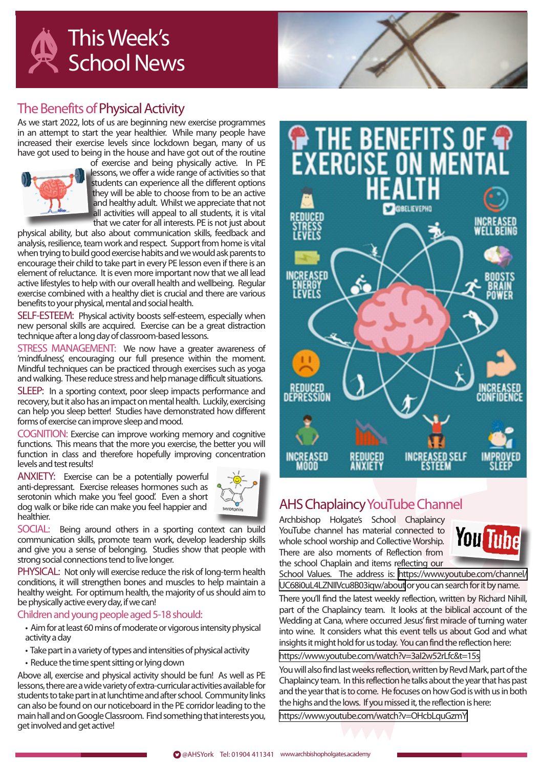



## The Benefits of Physical Activity

As we start 2022, lots of us are beginning new exercise programmes in an attempt to start the year healthier. While many people have increased their exercise levels since lockdown began, many of us have got used to being in the house and have got out of the routine



of exercise and being physically active. In PE lessons, we offer a wide range of activities so that students can experience all the different options they will be able to choose from to be an active and healthy adult. Whilst we appreciate that not all activities will appeal to all students, it is vital that we cater for all interests. PE is not just about

physical ability, but also about communication skills, feedback and analysis, resilience, team work and respect. Support from home is vital when trying to build good exercise habits and we would ask parents to encourage their child to take part in every PE lesson even if there is an element of reluctance. It is even more important now that we all lead active lifestyles to help with our overall health and wellbeing. Regular exercise combined with a healthy diet is crucial and there are various benefits to your physical, mental and social health.

SELF-ESTEEM: Physical activity boosts self-esteem, especially when new personal skills are acquired. Exercise can be a great distraction technique after a long day of classroom-based lessons.

STRESS MANAGEMENT: We now have a greater awareness of 'mindfulness', encouraging our full presence within the moment. Mindful techniques can be practiced through exercises such as yoga and walking. These reduce stress and help manage difficult situations.

SLEEP: In a sporting context, poor sleep impacts performance and recovery, but it also has an impact on mental health. Luckily, exercising can help you sleep better! Studies have demonstrated how different forms of exercise can improve sleep and mood.

COGNITION: Exercise can improve working memory and cognitive functions. This means that the more you exercise, the better you will function in class and therefore hopefully improving concentration levels and test results!

ANXIETY: Exercise can be a potentially powerful anti-depressant. Exercise releases hormones such as serotonin which make you 'feel good'. Even a short dog walk or bike ride can make you feel happier and healthier.



SOCIAL: Being around others in a sporting context can build communication skills, promote team work, develop leadership skills and give you a sense of belonging. Studies show that people with strong social connections tend to live longer.

PHYSICAL: Not only will exercise reduce the risk of long-term health conditions, it will strengthen bones and muscles to help maintain a healthy weight. For optimum health, the majority of us should aim to be physically active every day, if we can!

Children and young people aged 5-18 should:

- Aim for at least 60 mins of moderate or vigorous intensity physical activity a day
- Take part in a variety of types and intensities of physical activity
- Reduce the time spent sitting or lying down

Above all, exercise and physical activity should be fun! As well as PE lessons, there are a wide variety of extra-curricular activities available for students to take part in at lunchtime and after school. Community links can also be found on our noticeboard in the PE corridor leading to the main hall and on Google Classroom. Find something that interests you, get involved and get active!



## AHS Chaplaincy YouTube Channel

Archbishop Holgate's School Chaplaincy YouTube channel has material connected to whole school worship and Collective Worship. There are also moments of Reflection from the school Chaplain and items reflecting our



School Values. The address is: [https://www.youtube.com/channel/](https://www.youtube.com/channel/UC68i0uL4LZNIIVcu8B03iqw/about) [UC68i0uL4LZNIIVcu8B03iqw/about](https://www.youtube.com/channel/UC68i0uL4LZNIIVcu8B03iqw/about) or you can search for it by name.

There you'll find the latest weekly reflection, written by Richard Nihill, part of the Chaplaincy team. It looks at the biblical account of the Wedding at Cana, where occurred Jesus' first miracle of turning water into wine. It considers what this event tells us about God and what insights it might hold for us today. You can find the reflection here:

<https://www.youtube.com/watch?v=3aI2w52rLfc&t=15s>

You will also find last weeks reflection, written by Revd Mark, part of the Chaplaincy team. In this reflection he talks about the year that has past and the year that is to come. He focuses on how God is with us in both the highs and the lows. If you missed it, the reflection is here:

<https://www.youtube.com/watch?v=OHcbLquGzmY>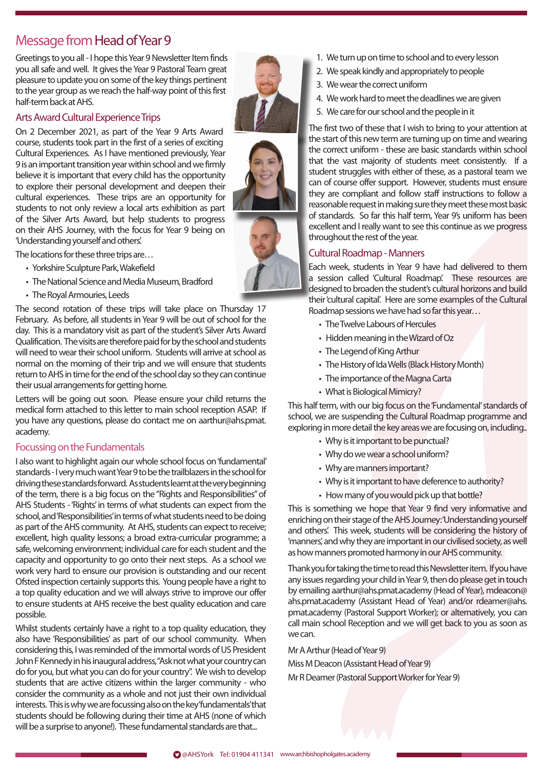## Message from Head of Year 9

Greetings to you all - I hope this Year 9 Newsletter Item finds you all safe and well. It gives the Year 9 Pastoral Team great pleasure to update you on some of the key things pertinent to the year group as we reach the half-way point of this first half-term back at AHS.

#### Arts Award Cultural Experience Trips

On 2 December 2021, as part of the Year 9 Arts Award course, students took part in the first of a series of exciting Cultural Experiences. As I have mentioned previously, Year 9 is an important transition year within school and we firmly believe it is important that every child has the opportunity to explore their personal development and deepen their cultural experiences. These trips are an opportunity for students to not only review a local arts exhibition as part of the Silver Arts Award, but help students to progress on their AHS Journey, with the focus for Year 9 being on 'Understanding yourself and others'.

The locations for these three trips are…

- Yorkshire Sculpture Park, Wakefield
- The National Science and Media Museum, Bradford
- The Royal Armouries, Leeds

The second rotation of these trips will take place on Thursday 17 February. As before, all students in Year 9 will be out of school for the day. This is a mandatory visit as part of the student's Silver Arts Award Qualification. The visits are therefore paid for by the school and students will need to wear their school uniform. Students will arrive at school as normal on the morning of their trip and we will ensure that students return to AHS in time for the end of the school day so they can continue their usual arrangements for getting home.

Letters will be going out soon. Please ensure your child returns the medical form attached to this letter to main school reception ASAP. If you have any questions, please do contact me on aarthur@ahs.pmat. academy.

#### Focussing on the Fundamentals

I also want to highlight again our whole school focus on 'fundamental' standards - I very much want Year 9 to be the trailblazers in the school for driving these standards forward. As students learnt at the very beginning of the term, there is a big focus on the "Rights and Responsibilities" of AHS Students - 'Rights' in terms of what students can expect from the school, and 'Responsibilities' in terms of what students need to be doing as part of the AHS community. At AHS, students can expect to receive; excellent, high quality lessons; a broad extra-curricular programme; a safe, welcoming environment; individual care for each student and the capacity and opportunity to go onto their next steps. As a school we work very hard to ensure our provision is outstanding and our recent Ofsted inspection certainly supports this. Young people have a right to a top quality education and we will always strive to improve our offer to ensure students at AHS receive the best quality education and care possible.

Whilst students certainly have a right to a top quality education, they also have 'Responsibilities' as part of our school community. When considering this, I was reminded of the immortal words of US President John F Kennedy in his inaugural address, "Ask not what your country can do for you, but what you can do for your country". We wish to develop students that are active citizens within the larger community - who consider the community as a whole and not just their own individual interests. This is why we are focussing also on the key 'fundamentals' that students should be following during their time at AHS (none of which will be a surprise to anyone!). These fundamental standards are that...

- 1. We turn up on time to school and to every lesson
- 2. We speak kindly and appropriately to people
- 3. We wear the correct uniform
- 4. We work hard to meet the deadlines we are given
- 5. We care for our school and the people in it

The first two of these that I wish to bring to your attention at the start of this new term are turning up on time and wearing the correct uniform - these are basic standards within school that the vast majority of students meet consistently. If a student struggles with either of these, as a pastoral team we can of course offer support. However, students must ensure they are compliant and follow staff instructions to follow a reasonable request in making sure they meet these most basic of standards. So far this half term, Year 9's uniform has been excellent and I really want to see this continue as we progress throughout the rest of the year.

#### Cultural Roadmap - Manners

Each week, students in Year 9 have had delivered to them a session called 'Cultural Roadmap'. These resources are designed to broaden the student's cultural horizons and build their 'cultural capital'. Here are some examples of the Cultural Roadmap sessions we have had so far this year…

- The Twelve Labours of Hercules
- Hidden meaning in the Wizard of Oz
- The Legend of King Arthur
- The History of Ida Wells (Black History Month)
- The importance of the Magna Carta
- What is Biological Mimicry?

This half term, with our big focus on the 'Fundamental' standards of school, we are suspending the Cultural Roadmap programme and exploring in more detail the key areas we are focusing on, including..

- Why is it important to be punctual?
- Why do we wear a school uniform?
- Why are manners important?
- Why is it important to have deference to authority?
- How many of you would pick up that bottle?

This is something we hope that Year 9 find very informative and enriching on their stage of the AHS Journey: 'Understanding yourself and others'. This week, students will be considering the history of 'manners', and why they are important in our civilised society, as well as how manners promoted harmony in our AHS community.

Thank you for taking the time to read this Newsletter item. If you have any issues regarding your child in Year 9, then do please get in touch by emailing aarthur@ahs.pmat.academy (Head of Year), mdeacon@ ahs.pmat.academy (Assistant Head of Year) and/or rdeamer@ahs. pmat.academy (Pastoral Support Worker); or alternatively, you can call main school Reception and we will get back to you as soon as we can.

Mr A Arthur (Head of Year 9)

Miss M Deacon (Assistant Head of Year 9) Mr R Deamer (Pastoral Support Worker for Year 9)



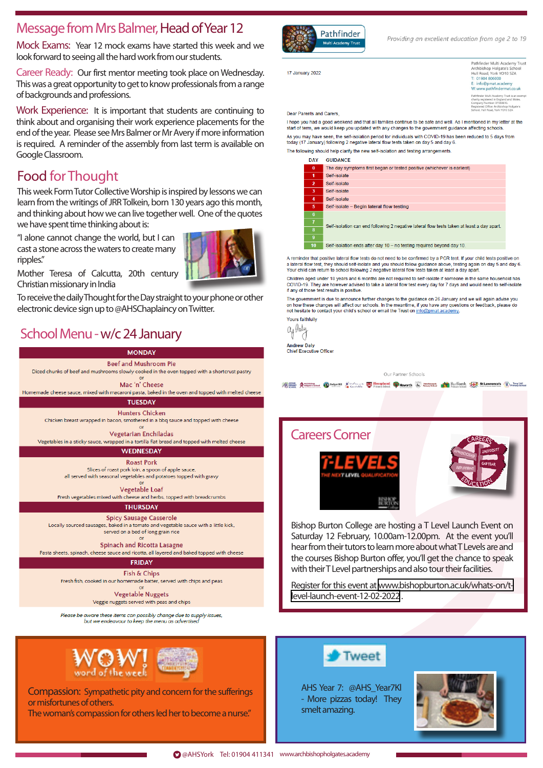## Message from Mrs Balmer, Head of Year 12

Mock Exams: Year 12 mock exams have started this week and we look forward to seeing all the hard work from our students.

Career Ready: Our first mentor meeting took place on Wednesday. This was a great opportunity to get to know professionals from a range of backgrounds and professions.

Work Experience: It is important that students are continuing to think about and organising their work experience placements for the end of the year. Please see Mrs Balmer or Mr Avery if more information is required. A reminder of the assembly from last term is available on Google Classroom.

## Food for Thought

This week Form Tutor Collective Worship is inspired by lessons we can learn from the writings of JRR Tolkein, born 130 years ago this month, and thinking about how we can live together well. One of the quotes we have spent time thinking about is:

"I alone cannot change the world, but I can cast a stone across the waters to create many ripples."



Mother Teresa of Calcutta, 20th century Christian missionary in India

To receive the daily Thought for the Day straight to your phone or other electronic device sign up to @AHSChaplaincy on Twitter.

## School Menu - w/c 24 January







Compassion: Sympathetic pity and concern for the sufferings or misfortunes of others.

The woman's compassion for others led her to become a nurse."



Providing an excellent education from age 2 to 19

17 January 2022

Pathfinder Multi Academy Trust Pathfinder Multi Academy<br>Archbishop Holgate's Sch<br>Hull Road, York YO10 5ZA<br>F: 01904 806000 : 01564 056666<br>: info@pmat.academy<br>V:www.pathfindermat.co.uk  $Ww$ Pathfinder Multi Academy Trust is an exe<br>charity registered in England and Wales.<br>Company Number: 07559610.

Dear Parents and Carers.

I hope you had a good weekend and that all families continue to be safe and well. As I mentioned in my letter at the start of term, we would keep you updated with any changes to the government guidance affecting schools As you may have seen, the self-isolation period for individuals with COVID-19 has been reduced to 5 days from today (17 January) following 2 negative lateral flow tests taken on day 5 and day 6 The following should help clarify the new self-isolation and testing arrangements

| DAI            | <b>MULLIPART CONTROL</b>                                                                   |  |
|----------------|--------------------------------------------------------------------------------------------|--|
| $\bf{0}$       | The day symptoms first began or tested positive (whichever is earliest)                    |  |
| 1              | Self-isolate                                                                               |  |
| $\overline{2}$ | Self-isolate                                                                               |  |
| 3              | Self-isolate                                                                               |  |
| 4              | Self-isolate                                                                               |  |
| 5              | Self-isolate - Begin lateral flow testing                                                  |  |
| 6              | Self-isolation can end following 2 negative lateral flow tests taken at least a day apart. |  |
| $\overline{1}$ |                                                                                            |  |
| 8              |                                                                                            |  |
| 9              |                                                                                            |  |
| 10             | Self-isolation ends after day 10 - no testing required beyond day 10.                      |  |
|                |                                                                                            |  |

A reminder that positive lateral flow tests do not need to be confirmed by a PCR test. If your child tests positive or a lateral flow test, they should self-isolate and you should follow guidance above, testing again on day 5 and day 6. Your child can return to school following 2 negative lateral flow tests taken at least a day apart.

Children aged under 18 years and 6 months are not required to self-isolate if someone in the same household has COVID-19. They are however advised to take a lateral flow test every day for 7 days and would need to self-isolate if any of those test results is positive

The government is due to announce further changes to the guidance on 26 January and we will again advise you on how these changes will affect our schools. In the meantime, if you have any questions or feedback, please do not hesitate to contact your child's school or email the Trust on info@pmat.academy

Yours faithfully ay laty

**Andrew Daly** Chief Executive Office

#### Our Partner Schools

The conditions of Deduction Contact in the Second Contact Contact Contact Contact Contact Contact Contact Contact Contact Contact Contact Contact Contact Contact Contact Contact Contact Contact Contact Contact Contact Cont



Bishop Burton College are hosting a T Level Launch Event on Saturday 12 February, 10.00am-12.00pm. At the event you'll hear from their tutors to learn more about what T Levels are and the courses Bishop Burton offer, you'll get the chance to speak with their T Level partnerships and also tour their facilities.

Register for this event at [www.bishopburton.ac.uk/whats-on/t](www.bishopburton.ac.uk/whats-on/t-level-launch-event-12-02-2022)[level-launch-event-12-02-2022](www.bishopburton.ac.uk/whats-on/t-level-launch-event-12-02-2022) .



AHS Year 7: @AHS\_Year7Kl - More pizzas today! They smelt amazing.